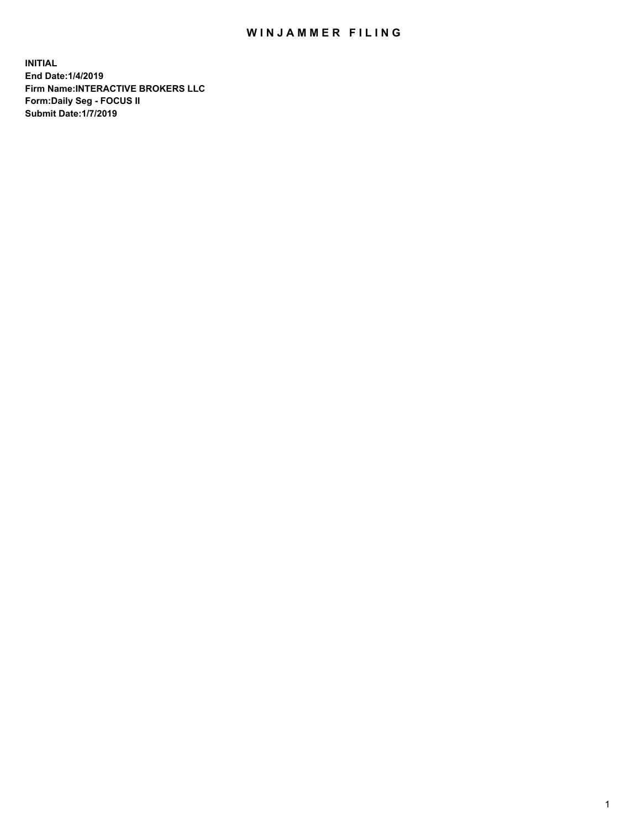## WIN JAMMER FILING

**INITIAL End Date:1/4/2019 Firm Name:INTERACTIVE BROKERS LLC Form:Daily Seg - FOCUS II Submit Date:1/7/2019**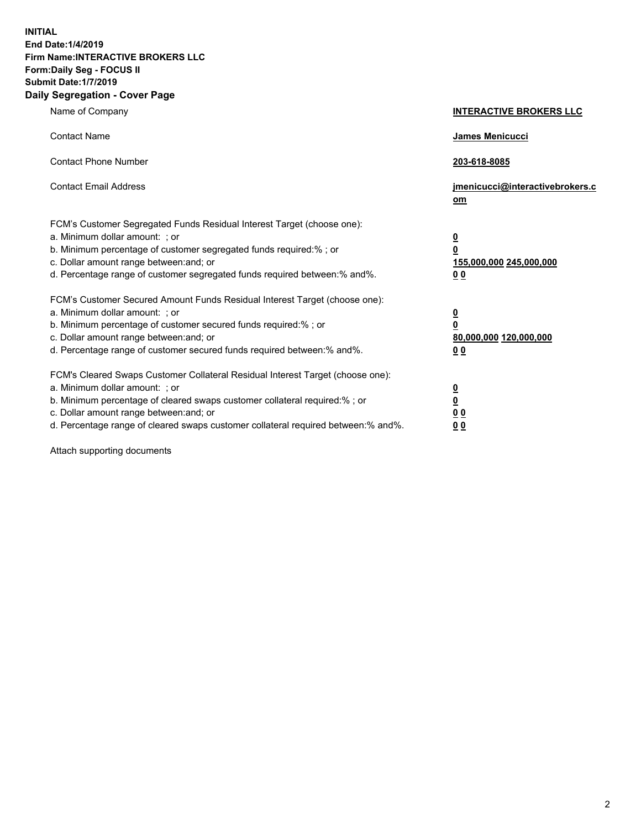**INITIAL End Date:1/4/2019 Firm Name:INTERACTIVE BROKERS LLC Form:Daily Seg - FOCUS II Submit Date:1/7/2019 Daily Segregation - Cover Page**

| Name of Company                                                                                                                                                                                                                                                                                                                | <b>INTERACTIVE BROKERS LLC</b>                                                      |
|--------------------------------------------------------------------------------------------------------------------------------------------------------------------------------------------------------------------------------------------------------------------------------------------------------------------------------|-------------------------------------------------------------------------------------|
| <b>Contact Name</b>                                                                                                                                                                                                                                                                                                            | James Menicucci                                                                     |
| <b>Contact Phone Number</b>                                                                                                                                                                                                                                                                                                    | 203-618-8085                                                                        |
| <b>Contact Email Address</b>                                                                                                                                                                                                                                                                                                   | jmenicucci@interactivebrokers.c<br>om                                               |
| FCM's Customer Segregated Funds Residual Interest Target (choose one):<br>a. Minimum dollar amount: ; or<br>b. Minimum percentage of customer segregated funds required:% ; or<br>c. Dollar amount range between: and; or<br>d. Percentage range of customer segregated funds required between:% and%.                         | $\overline{\mathbf{0}}$<br>$\overline{\mathbf{0}}$<br>155,000,000 245,000,000<br>00 |
| FCM's Customer Secured Amount Funds Residual Interest Target (choose one):<br>a. Minimum dollar amount: ; or<br>b. Minimum percentage of customer secured funds required:% ; or<br>c. Dollar amount range between: and; or<br>d. Percentage range of customer secured funds required between:% and%.                           | $\overline{\mathbf{0}}$<br>$\pmb{0}$<br>80,000,000 120,000,000<br>00                |
| FCM's Cleared Swaps Customer Collateral Residual Interest Target (choose one):<br>a. Minimum dollar amount: ; or<br>b. Minimum percentage of cleared swaps customer collateral required:% ; or<br>c. Dollar amount range between: and; or<br>d. Percentage range of cleared swaps customer collateral required between:% and%. | $\overline{\mathbf{0}}$<br>$\underline{\mathbf{0}}$<br>0 <sub>0</sub><br>00         |

Attach supporting documents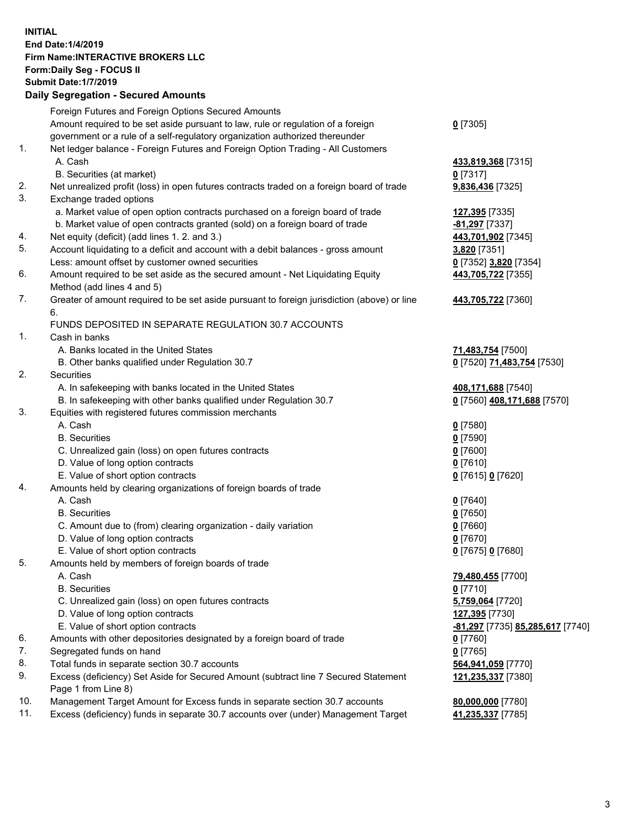## **INITIAL End Date:1/4/2019 Firm Name:INTERACTIVE BROKERS LLC Form:Daily Seg - FOCUS II Submit Date:1/7/2019 Daily Segregation - Secured Amounts**

|                | Daily Ocglegation - Occured Anioants                                                        |                                                      |
|----------------|---------------------------------------------------------------------------------------------|------------------------------------------------------|
|                | Foreign Futures and Foreign Options Secured Amounts                                         |                                                      |
|                | Amount required to be set aside pursuant to law, rule or regulation of a foreign            | $0$ [7305]                                           |
|                | government or a rule of a self-regulatory organization authorized thereunder                |                                                      |
| $\mathbf{1}$ . | Net ledger balance - Foreign Futures and Foreign Option Trading - All Customers             |                                                      |
|                | A. Cash                                                                                     | 433,819,368 [7315]                                   |
|                | B. Securities (at market)                                                                   | $0$ [7317]                                           |
| 2.             | Net unrealized profit (loss) in open futures contracts traded on a foreign board of trade   | 9,836,436 [7325]                                     |
| 3.             | Exchange traded options                                                                     |                                                      |
|                | a. Market value of open option contracts purchased on a foreign board of trade              | 127,395 [7335]                                       |
|                | b. Market value of open contracts granted (sold) on a foreign board of trade                | -81,297 [7337]                                       |
| 4.             | Net equity (deficit) (add lines 1. 2. and 3.)                                               | 443,701,902 [7345]                                   |
| 5.             | Account liquidating to a deficit and account with a debit balances - gross amount           | 3,820 [7351]                                         |
|                | Less: amount offset by customer owned securities                                            | 0 [7352] 3,820 [7354]                                |
| 6.             | Amount required to be set aside as the secured amount - Net Liquidating Equity              | 443,705,722 [7355]                                   |
|                | Method (add lines 4 and 5)                                                                  |                                                      |
| 7.             | Greater of amount required to be set aside pursuant to foreign jurisdiction (above) or line | 443,705,722 [7360]                                   |
|                | 6.                                                                                          |                                                      |
|                | FUNDS DEPOSITED IN SEPARATE REGULATION 30.7 ACCOUNTS                                        |                                                      |
| $\mathbf{1}$ . | Cash in banks                                                                               |                                                      |
|                | A. Banks located in the United States                                                       | 71,483,754 [7500]                                    |
|                | B. Other banks qualified under Regulation 30.7                                              | 0 [7520] 71,483,754 [7530]                           |
| 2.             | Securities                                                                                  |                                                      |
|                | A. In safekeeping with banks located in the United States                                   | 408,171,688 [7540]                                   |
|                | B. In safekeeping with other banks qualified under Regulation 30.7                          | 0 [7560] 408,171,688 [7570]                          |
| 3.             | Equities with registered futures commission merchants                                       |                                                      |
|                | A. Cash                                                                                     | $0$ [7580]                                           |
|                | <b>B.</b> Securities                                                                        | $0$ [7590]                                           |
|                | C. Unrealized gain (loss) on open futures contracts                                         | $0$ [7600]                                           |
|                | D. Value of long option contracts                                                           | $0$ [7610]                                           |
|                | E. Value of short option contracts                                                          | 0 [7615] 0 [7620]                                    |
| 4.             | Amounts held by clearing organizations of foreign boards of trade                           |                                                      |
|                | A. Cash                                                                                     | $0$ [7640]                                           |
|                | <b>B.</b> Securities                                                                        | $0$ [7650]                                           |
|                | C. Amount due to (from) clearing organization - daily variation                             | $0$ [7660]                                           |
|                | D. Value of long option contracts<br>E. Value of short option contracts                     | $0$ [7670]                                           |
| 5.             |                                                                                             | 0 [7675] 0 [7680]                                    |
|                | Amounts held by members of foreign boards of trade<br>A. Cash                               |                                                      |
|                | <b>B.</b> Securities                                                                        | 79,480,455 [7700]<br>$0$ [7710]                      |
|                | C. Unrealized gain (loss) on open futures contracts                                         | 5,759,064 [7720]                                     |
|                | D. Value of long option contracts                                                           | 127,395 [7730]                                       |
|                | E. Value of short option contracts                                                          | <mark>-81,297</mark> [7735] <b>85,285,617</b> [7740] |
| 6.             | Amounts with other depositories designated by a foreign board of trade                      | 0 [7760]                                             |
| 7.             | Segregated funds on hand                                                                    | $0$ [7765]                                           |
| 8.             | Total funds in separate section 30.7 accounts                                               | 564,941,059 [7770]                                   |
| 9.             | Excess (deficiency) Set Aside for Secured Amount (subtract line 7 Secured Statement         | 121,235,337 [7380]                                   |
|                | Page 1 from Line 8)                                                                         |                                                      |
| 10.            | Management Target Amount for Excess funds in separate section 30.7 accounts                 | 80,000,000 [7780]                                    |
| 11.            | Excess (deficiency) funds in separate 30.7 accounts over (under) Management Target          | 41,235,337 [7785]                                    |
|                |                                                                                             |                                                      |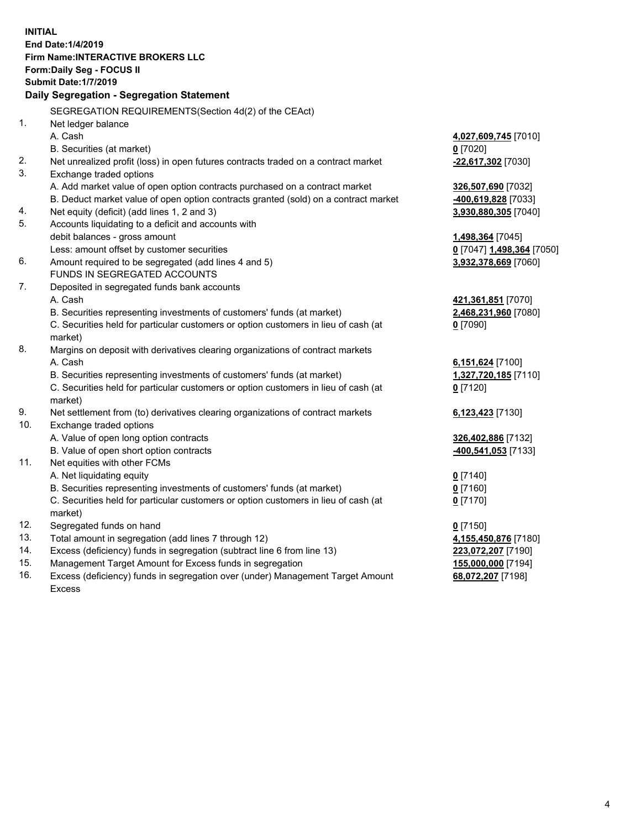**INITIAL End Date:1/4/2019 Firm Name:INTERACTIVE BROKERS LLC Form:Daily Seg - FOCUS II Submit Date:1/7/2019 Daily Segregation - Segregation Statement** SEGREGATION REQUIREMENTS(Section 4d(2) of the CEAct) 1. Net ledger balance A. Cash **4,027,609,745** [7010] B. Securities (at market) **0** [7020] 2. Net unrealized profit (loss) in open futures contracts traded on a contract market **-22,617,302** [7030] 3. Exchange traded options A. Add market value of open option contracts purchased on a contract market **326,507,690** [7032] B. Deduct market value of open option contracts granted (sold) on a contract market **-400,619,828** [7033] 4. Net equity (deficit) (add lines 1, 2 and 3) **3,930,880,305** [7040] 5. Accounts liquidating to a deficit and accounts with debit balances - gross amount **1,498,364** [7045] Less: amount offset by customer securities **0** [7047] **1,498,364** [7050] 6. Amount required to be segregated (add lines 4 and 5) **3,932,378,669** [7060] FUNDS IN SEGREGATED ACCOUNTS 7. Deposited in segregated funds bank accounts A. Cash **421,361,851** [7070] B. Securities representing investments of customers' funds (at market) **2,468,231,960** [7080] C. Securities held for particular customers or option customers in lieu of cash (at market) **0** [7090] 8. Margins on deposit with derivatives clearing organizations of contract markets A. Cash **6,151,624** [7100] B. Securities representing investments of customers' funds (at market) **1,327,720,185** [7110] C. Securities held for particular customers or option customers in lieu of cash (at market) **0** [7120] 9. Net settlement from (to) derivatives clearing organizations of contract markets **6,123,423** [7130] 10. Exchange traded options A. Value of open long option contracts **326,402,886** [7132] B. Value of open short option contracts **-400,541,053** [7133] 11. Net equities with other FCMs A. Net liquidating equity **0** [7140] B. Securities representing investments of customers' funds (at market) **0** [7160] C. Securities held for particular customers or option customers in lieu of cash (at market) **0** [7170] 12. Segregated funds on hand **0** [7150] 13. Total amount in segregation (add lines 7 through 12) **4,155,450,876** [7180] 14. Excess (deficiency) funds in segregation (subtract line 6 from line 13) **223,072,207** [7190] 15. Management Target Amount for Excess funds in segregation **155,000,000** [7194] 16. Excess (deficiency) funds in segregation over (under) Management Target Amount **68,072,207** [7198]

Excess